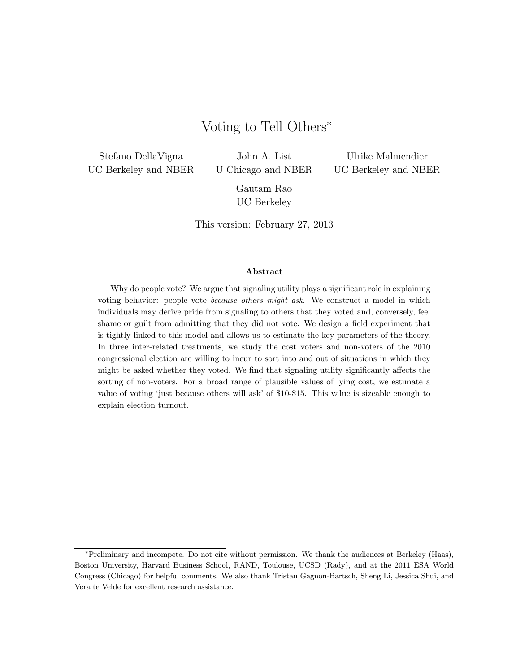# Voting to Tell Others<sup>∗</sup>

Stefano DellaVigna UC Berkeley and NBER

John A. List U Chicago and NBER

Ulrike Malmendier UC Berkeley and NBER

Gautam Rao UC Berkeley

This version: February 27, 2013

#### Abstract

Why do people vote? We argue that signaling utility plays a significant role in explaining voting behavior: people vote because others might ask. We construct a model in which individuals may derive pride from signaling to others that they voted and, conversely, feel shame or guilt from admitting that they did not vote. We design a field experiment that is tightly linked to this model and allows us to estimate the key parameters of the theory. In three inter-related treatments, we study the cost voters and non-voters of the 2010 congressional election are willing to incur to sort into and out of situations in which they might be asked whether they voted. We find that signaling utility significantly affects the sorting of non-voters. For a broad range of plausible values of lying cost, we estimate a value of voting 'just because others will ask' of \$10-\$15. This value is sizeable enough to explain election turnout.

<sup>∗</sup>Preliminary and incompete. Do not cite without permission. We thank the audiences at Berkeley (Haas), Boston University, Harvard Business School, RAND, Toulouse, UCSD (Rady), and at the 2011 ESA World Congress (Chicago) for helpful comments. We also thank Tristan Gagnon-Bartsch, Sheng Li, Jessica Shui, and Vera te Velde for excellent research assistance.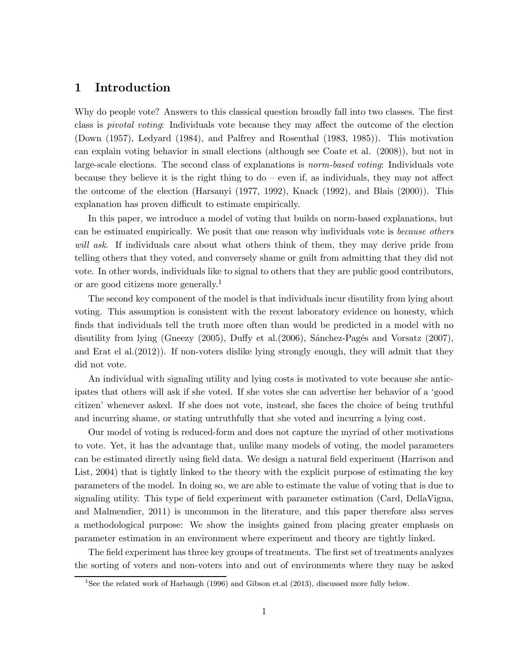# 1 Introduction

Why do people vote? Answers to this classical question broadly fall into two classes. The first class is pivotal voting: Individuals vote because they may affect the outcome of the election (Down (1957), Ledyard (1984), and Palfrey and Rosenthal (1983, 1985)). This motivation can explain voting behavior in small elections (although see Coate et al. (2008)), but not in large-scale elections. The second class of explanations is norm-based voting: Individuals vote because they believe it is the right thing to  $d\sigma$  – even if, as individuals, they may not affect the outcome of the election (Harsanyi (1977, 1992), Knack (1992), and Blais (2000)). This explanation has proven difficult to estimate empirically.

In this paper, we introduce a model of voting that builds on norm-based explanations, but can be estimated empirically. We posit that one reason why individuals vote is *because others* will ask. If individuals care about what others think of them, they may derive pride from telling others that they voted, and conversely shame or guilt from admitting that they did not vote. In other words, individuals like to signal to others that they are public good contributors, or are good citizens more generally.<sup>1</sup>

The second key component of the model is that individuals incur disutility from lying about voting. This assumption is consistent with the recent laboratory evidence on honesty, which finds that individuals tell the truth more often than would be predicted in a model with no disutility from lying (Gneezy  $(2005)$ , Duffy et al. $(2006)$ , Sánchez-Pagés and Vorsatz  $(2007)$ , and Erat el al.(2012)). If non-voters dislike lying strongly enough, they will admit that they did not vote.

An individual with signaling utility and lying costs is motivated to vote because she anticipates that others will ask if she voted. If she votes she can advertise her behavior of a 'good citizen' whenever asked. If she does not vote, instead, she faces the choice of being truthful and incurring shame, or stating untruthfully that she voted and incurring a lying cost.

Our model of voting is reduced-form and does not capture the myriad of other motivations to vote. Yet, it has the advantage that, unlike many models of voting, the model parameters can be estimated directly using field data. We design a natural field experiment (Harrison and List, 2004) that is tightly linked to the theory with the explicit purpose of estimating the key parameters of the model. In doing so, we are able to estimate the value of voting that is due to signaling utility. This type of field experiment with parameter estimation (Card, DellaVigna, and Malmendier, 2011) is uncommon in the literature, and this paper therefore also serves a methodological purpose: We show the insights gained from placing greater emphasis on parameter estimation in an environment where experiment and theory are tightly linked.

The field experiment has three key groups of treatments. The first set of treatments analyzes the sorting of voters and non-voters into and out of environments where they may be asked

<sup>&</sup>lt;sup>1</sup>See the related work of Harbaugh (1996) and Gibson et.al (2013), discussed more fully below.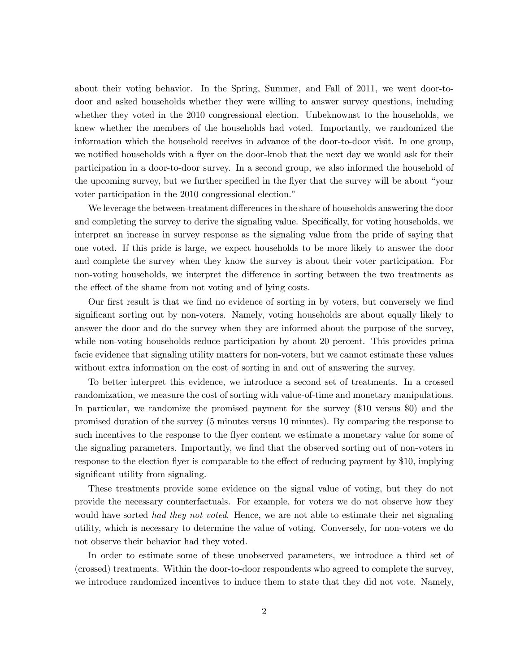about their voting behavior. In the Spring, Summer, and Fall of 2011, we went door-todoor and asked households whether they were willing to answer survey questions, including whether they voted in the 2010 congressional election. Unbeknownst to the households, we knew whether the members of the households had voted. Importantly, we randomized the information which the household receives in advance of the door-to-door visit. In one group, we notified households with a flyer on the door-knob that the next day we would ask for their participation in a door-to-door survey. In a second group, we also informed the household of the upcoming survey, but we further specified in the flyer that the survey will be about "your voter participation in the 2010 congressional election."

We leverage the between-treatment differences in the share of households answering the door and completing the survey to derive the signaling value. Specifically, for voting households, we interpret an increase in survey response as the signaling value from the pride of saying that one voted. If this pride is large, we expect households to be more likely to answer the door and complete the survey when they know the survey is about their voter participation. For non-voting households, we interpret the difference in sorting between the two treatments as the effect of the shame from not voting and of lying costs.

Our first result is that we find no evidence of sorting in by voters, but conversely we find significant sorting out by non-voters. Namely, voting households are about equally likely to answer the door and do the survey when they are informed about the purpose of the survey, while non-voting households reduce participation by about 20 percent. This provides prima facie evidence that signaling utility matters for non-voters, but we cannot estimate these values without extra information on the cost of sorting in and out of answering the survey.

To better interpret this evidence, we introduce a second set of treatments. In a crossed randomization, we measure the cost of sorting with value-of-time and monetary manipulations. In particular, we randomize the promised payment for the survey (\$10 versus \$0) and the promised duration of the survey (5 minutes versus 10 minutes). By comparing the response to such incentives to the response to the flyer content we estimate a monetary value for some of the signaling parameters. Importantly, we find that the observed sorting out of non-voters in response to the election flyer is comparable to the effect of reducing payment by \$10, implying significant utility from signaling.

These treatments provide some evidence on the signal value of voting, but they do not provide the necessary counterfactuals. For example, for voters we do not observe how they would have sorted had they not voted. Hence, we are not able to estimate their net signaling utility, which is necessary to determine the value of voting. Conversely, for non-voters we do not observe their behavior had they voted.

In order to estimate some of these unobserved parameters, we introduce a third set of (crossed) treatments. Within the door-to-door respondents who agreed to complete the survey, we introduce randomized incentives to induce them to state that they did not vote. Namely,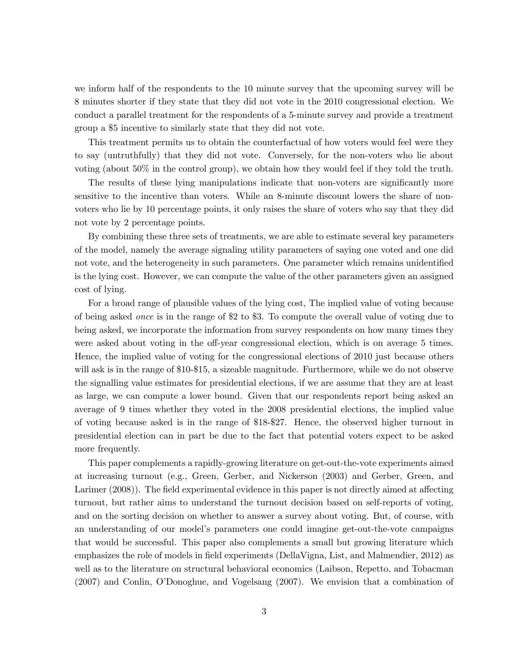we inform half of the respondents to the 10 minute survey that the upcoming survey will be 8 minutes shorter if they state that they did not vote in the 2010 congressional election. We conduct a parallel treatment for the respondents of a 5-minute survey and provide a treatment group a \$5 incentive to similarly state that they did not vote.

This treatment permits us to obtain the counterfactual of how voters would feel were they to say (untruthfully) that they did not vote. Conversely, for the non-voters who lie about voting (about 50% in the control group), we obtain how they would feel if they told the truth.

The results of these lying manipulations indicate that non-voters are significantly more sensitive to the incentive than voters. While an 8-minute discount lowers the share of nonvoters who lie by 10 percentage points, it only raises the share of voters who say that they did not vote by 2 percentage points.

By combining these three sets of treatments, we are able to estimate several key parameters of the model, namely the average signaling utility parameters of saying one voted and one did not vote, and the heterogeneity in such parameters. One parameter which remains unidentified is the lying cost. However, we can compute the value of the other parameters given an assigned cost of lying.

For a broad range of plausible values of the lying cost, The implied value of voting because of being asked once is in the range of \$2 to \$3. To compute the overall value of voting due to being asked, we incorporate the information from survey respondents on how many times they were asked about voting in the off-year congressional election, which is on average 5 times. Hence, the implied value of voting for the congressional elections of 2010 just because others will ask is in the range of \$10-\$15, a sizeable magnitude. Furthermore, while we do not observe the signalling value estimates for presidential elections, if we are assume that they are at least as large, we can compute a lower bound. Given that our respondents report being asked an average of 9 times whether they voted in the 2008 presidential elections, the implied value of voting because asked is in the range of \$18-\$27. Hence, the observed higher turnout in presidential election can in part be due to the fact that potential voters expect to be asked more frequently.

This paper complements a rapidly-growing literature on get-out-the-vote experiments aimed at increasing turnout (e.g., Green, Gerber, and Nickerson (2003) and Gerber, Green, and Larimer (2008)). The field experimental evidence in this paper is not directly aimed at affecting turnout, but rather aims to understand the turnout decision based on self-reports of voting, and on the sorting decision on whether to answer a survey about voting. But, of course, with an understanding of our model's parameters one could imagine get-out-the-vote campaigns that would be successful. This paper also complements a small but growing literature which emphasizes the role of models in field experiments (DellaVigna, List, and Malmendier, 2012) as well as to the literature on structural behavioral economics (Laibson, Repetto, and Tobacman (2007) and Conlin, O'Donoghue, and Vogelsang (2007). We envision that a combination of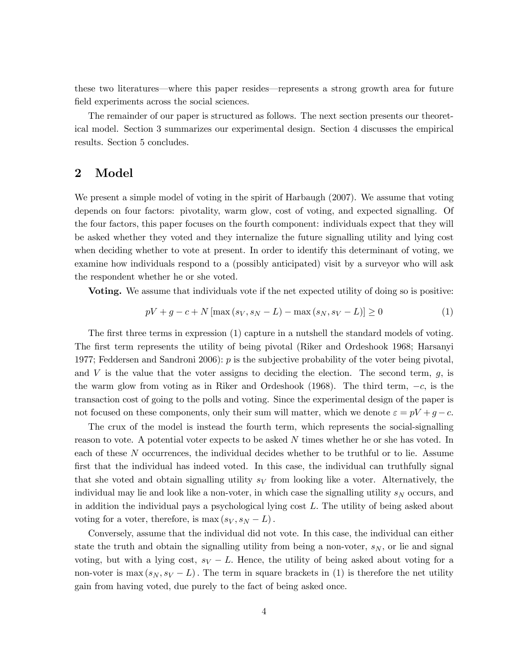these two literatures–where this paper resides–represents a strong growth area for future field experiments across the social sciences.

The remainder of our paper is structured as follows. The next section presents our theoretical model. Section 3 summarizes our experimental design. Section 4 discusses the empirical results. Section 5 concludes.

### 2 Model

We present a simple model of voting in the spirit of Harbaugh (2007). We assume that voting depends on four factors: pivotality, warm glow, cost of voting, and expected signalling. Of the four factors, this paper focuses on the fourth component: individuals expect that they will be asked whether they voted and they internalize the future signalling utility and lying cost when deciding whether to vote at present. In order to identify this determinant of voting, we examine how individuals respond to a (possibly anticipated) visit by a surveyor who will ask the respondent whether he or she voted.

Voting. We assume that individuals vote if the net expected utility of doing so is positive:

$$
pV + g - c + N[\max(s_V, s_N - L) - \max(s_N, s_V - L)] \ge 0
$$
\n(1)

The first three terms in expression (1) capture in a nutshell the standard models of voting. The first term represents the utility of being pivotal (Riker and Ordeshook 1968; Harsanyi 1977; Feddersen and Sandroni 2006):  $p$  is the subjective probability of the voter being pivotal, and  $V$  is the value that the voter assigns to deciding the election. The second term,  $g$ , is the warm glow from voting as in Riker and Ordeshook (1968). The third term,  $-c$ , is the transaction cost of going to the polls and voting. Since the experimental design of the paper is not focused on these components, only their sum will matter, which we denote  $\varepsilon = pV + g - c$ .

The crux of the model is instead the fourth term, which represents the social-signalling reason to vote. A potential voter expects to be asked  $N$  times whether he or she has voted. In each of these  $N$  occurrences, the individual decides whether to be truthful or to lie. Assume first that the individual has indeed voted. In this case, the individual can truthfully signal that she voted and obtain signalling utility  $s_V$  from looking like a voter. Alternatively, the individual may lie and look like a non-voter, in which case the signalling utility  $s_N$  occurs, and in addition the individual pays a psychological lying cost  $L$ . The utility of being asked about voting for a voter, therefore, is max  $(s_V, s_N - L)$ .

Conversely, assume that the individual did not vote. In this case, the individual can either state the truth and obtain the signalling utility from being a non-voter,  $s_N$ , or lie and signal voting, but with a lying cost,  $s_V - L$ . Hence, the utility of being asked about voting for a non-voter is max  $(s_N, s_V - L)$ . The term in square brackets in (1) is therefore the net utility gain from having voted, due purely to the fact of being asked once.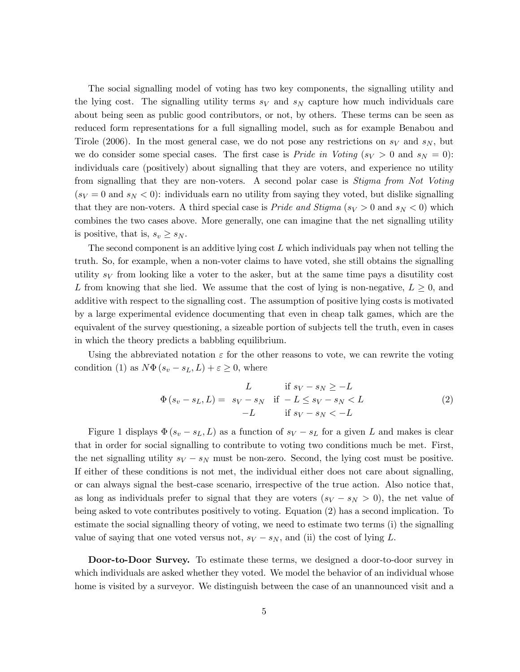The social signalling model of voting has two key components, the signalling utility and the lying cost. The signalling utility terms  $s_V$  and  $s_N$  capture how much individuals care about being seen as public good contributors, or not, by others. These terms can be seen as reduced form representations for a full signalling model, such as for example Benabou and Tirole (2006). In the most general case, we do not pose any restrictions on  $s_V$  and  $s_N$ , but we do consider some special cases. The first case is *Pride in Voting*  $(s_V > 0$  and  $s_N = 0)$ : individuals care (positively) about signalling that they are voters, and experience no utility from signalling that they are non-voters. A second polar case is Stigma from Not Voting  $(s_V = 0 \text{ and } s_N < 0)$ : individuals earn no utility from saying they voted, but dislike signalling that they are non-voters. A third special case is *Pride and Stigma* ( $s_V > 0$  and  $s_N < 0$ ) which combines the two cases above. More generally, one can imagine that the net signalling utility is positive, that is,  $s_v \geq s_N$ .

The second component is an additive lying cost  $L$  which individuals pay when not telling the truth. So, for example, when a non-voter claims to have voted, she still obtains the signalling utility  $s_V$  from looking like a voter to the asker, but at the same time pays a disutility cost L from knowing that she lied. We assume that the cost of lying is non-negative,  $L \geq 0$ , and additive with respect to the signalling cost. The assumption of positive lying costs is motivated by a large experimental evidence documenting that even in cheap talk games, which are the equivalent of the survey questioning, a sizeable portion of subjects tell the truth, even in cases in which the theory predicts a babbling equilibrium.

Using the abbreviated notation  $\varepsilon$  for the other reasons to vote, we can rewrite the voting condition (1) as  $N\Phi(s_v - s_L, L) + \varepsilon \geq 0$ , where

$$
L \quad \text{if } s_V - s_N \ge -L
$$
  
\n
$$
\Phi(s_v - s_L, L) = s_V - s_N \quad \text{if } -L \le s_V - s_N < L
$$
  
\n
$$
-L \quad \text{if } s_V - s_N < -L
$$
\n
$$
(2)
$$

Figure 1 displays  $\Phi(s_v - s_L, L)$  as a function of  $s_V - s_L$  for a given L and makes is clear that in order for social signalling to contribute to voting two conditions much be met. First, the net signalling utility  $s_V - s_N$  must be non-zero. Second, the lying cost must be positive. If either of these conditions is not met, the individual either does not care about signalling, or can always signal the best-case scenario, irrespective of the true action. Also notice that, as long as individuals prefer to signal that they are voters  $(s_V - s_N > 0)$ , the net value of being asked to vote contributes positively to voting. Equation (2) has a second implication. To estimate the social signalling theory of voting, we need to estimate two terms (i) the signalling value of saying that one voted versus not,  $s_V - s_N$ , and (ii) the cost of lying L.

Door-to-Door Survey. To estimate these terms, we designed a door-to-door survey in which individuals are asked whether they voted. We model the behavior of an individual whose home is visited by a surveyor. We distinguish between the case of an unannounced visit and a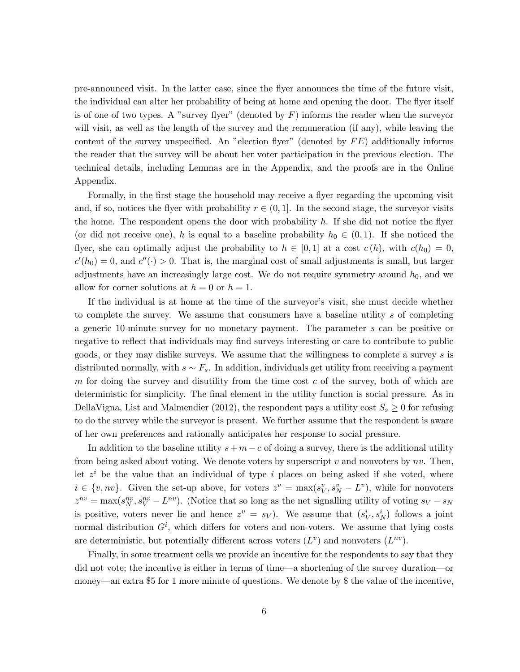pre-announced visit. In the latter case, since the flyer announces the time of the future visit, the individual can alter her probability of being at home and opening the door. The flyer itself is of one of two types. A "survey flyer" (denoted by  $F$ ) informs the reader when the surveyor will visit, as well as the length of the survey and the remuneration (if any), while leaving the content of the survey unspecified. An "election flyer" (denoted by  $FE$ ) additionally informs the reader that the survey will be about her voter participation in the previous election. The technical details, including Lemmas are in the Appendix, and the proofs are in the Online Appendix.

Formally, in the first stage the household may receive a flyer regarding the upcoming visit and, if so, notices the flyer with probability  $r \in (0,1]$ . In the second stage, the surveyor visits the home. The respondent opens the door with probability  $h$ . If she did not notice the flyer (or did not receive one), h is equal to a baseline probability  $h_0 \in (0,1)$ . If she noticed the flyer, she can optimally adjust the probability to  $h \in [0,1]$  at a cost  $c(h)$ , with  $c(h_0)=0$ ,  $c'(h_0) = 0$ , and  $c''(\cdot) > 0$ . That is, the marginal cost of small adjustments is small, but larger adjustments have an increasingly large cost. We do not require symmetry around  $h_0$ , and we allow for corner solutions at  $h = 0$  or  $h = 1$ .

If the individual is at home at the time of the surveyor's visit, she must decide whether to complete the survey. We assume that consumers have a baseline utility s of completing a generic 10-minute survey for no monetary payment. The parameter  $s$  can be positive or negative to reflect that individuals may find surveys interesting or care to contribute to public goods, or they may dislike surveys. We assume that the willingness to complete a survey is distributed normally, with  $s \sim F_s$ . In addition, individuals get utility from receiving a payment  $m$  for doing the survey and disutility from the time cost  $c$  of the survey, both of which are deterministic for simplicity. The final element in the utility function is social pressure. As in DellaVigna, List and Malmendier (2012), the respondent pays a utility cost  $S_s \geq 0$  for refusing to do the survey while the surveyor is present. We further assume that the respondent is aware of her own preferences and rationally anticipates her response to social pressure.

In addition to the baseline utility  $s + m - c$  of doing a survey, there is the additional utility from being asked about voting. We denote voters by superscript  $v$  and nonvoters by  $nv$ . Then, let  $z<sup>i</sup>$  be the value that an individual of type i places on being asked if she voted, where  $i \in \{v, nv\}$ . Given the set-up above, for voters  $z^v = \max(s_V^v, s_N^v - L^v)$ , while for nonvoters  $z^{nv} = \max(s_N^{nv}, s_V^{nv} - L^{nv}).$  (Notice that so long as the net signalling utility of voting  $s_V - s_N$ is positive, voters never lie and hence  $z^v = s_V$ ). We assume that  $(s_V^i, s_N^i)$  follows a joint normal distribution  $G<sup>i</sup>$ , which differs for voters and non-voters. We assume that lying costs are deterministic, but potentially different across voters  $(L^v)$  and nonvoters  $(L^{nv})$ .

Finally, in some treatment cells we provide an incentive for the respondents to say that they did not vote; the incentive is either in terms of time–a shortening of the survey duration–or money–an extra \$5 for 1 more minute of questions. We denote by \$ the value of the incentive,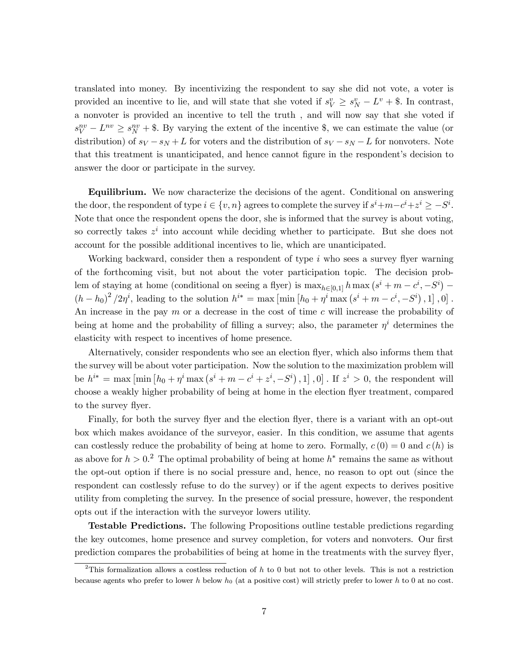translated into money. By incentivizing the respondent to say she did not vote, a voter is provided an incentive to lie, and will state that she voted if  $s_V^v \geq s_N^v - L^v + \$ . In contrast, a nonvoter is provided an incentive to tell the truth , and will now say that she voted if  $s_V^{nv} - L^{nv} \geq s_N^{nv} +$  \$. By varying the extent of the incentive \$, we can estimate the value (or distribution) of  $s_V - s_N + L$  for voters and the distribution of  $s_V - s_N - L$  for nonvoters. Note that this treatment is unanticipated, and hence cannot figure in the respondent's decision to answer the door or participate in the survey.

Equilibrium. We now characterize the decisions of the agent. Conditional on answering the door, the respondent of type  $i \in \{v, n\}$  agrees to complete the survey if  $s^i + m - c^i + z^i \ge -S^i$ . Note that once the respondent opens the door, she is informed that the survey is about voting, so correctly takes  $z^i$  into account while deciding whether to participate. But she does not account for the possible additional incentives to lie, which are unanticipated.

Working backward, consider then a respondent of type  $i$  who sees a survey flyer warning of the forthcoming visit, but not about the voter participation topic. The decision problem of staying at home (conditional on seeing a flyer) is  $\max_{h \in [0,1]} h \max(s^i + m - c^i, -S^i)$  $(h - h_0)^2 / 2\eta^i$ , leading to the solution  $h^{i*} = \max \left[ \min \left[ h_0 + \eta^i \max \left( s^i + m - c^i, -S^i \right), 1 \right], 0 \right]$ . An increase in the pay  $m$  or a decrease in the cost of time  $c$  will increase the probability of being at home and the probability of filling a survey; also, the parameter  $\eta^i$  determines the elasticity with respect to incentives of home presence.

Alternatively, consider respondents who see an election flyer, which also informs them that the survey will be about voter participation. Now the solution to the maximization problem will be  $h^{i*} = \max \left[ \min \left[ h_0 + \eta^i \max \left( s^i + m - c^i + z^i, -S^i \right), 1 \right], 0 \right]$ . If  $z^i > 0$ , the respondent will choose a weakly higher probability of being at home in the election flyer treatment, compared to the survey flyer.

Finally, for both the survey flyer and the election flyer, there is a variant with an opt-out box which makes avoidance of the surveyor, easier. In this condition, we assume that agents can costlessly reduce the probability of being at home to zero. Formally,  $c(0) = 0$  and  $c(h)$  is as above for  $h > 0.2$  The optimal probability of being at home  $h^*$  remains the same as without the opt-out option if there is no social pressure and, hence, no reason to opt out (since the respondent can costlessly refuse to do the survey) or if the agent expects to derives positive utility from completing the survey. In the presence of social pressure, however, the respondent opts out if the interaction with the surveyor lowers utility.

Testable Predictions. The following Propositions outline testable predictions regarding the key outcomes, home presence and survey completion, for voters and nonvoters. Our first prediction compares the probabilities of being at home in the treatments with the survey flyer,

<sup>&</sup>lt;sup>2</sup>This formalization allows a costless reduction of  $h$  to 0 but not to other levels. This is not a restriction because agents who prefer to lower  $h$  below  $h_0$  (at a positive cost) will strictly prefer to lower  $h$  to 0 at no cost.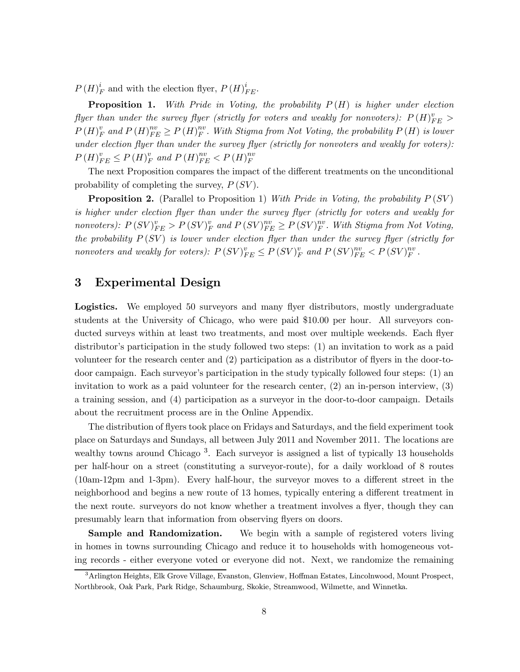$P(H)_F^i$  and with the election flyer,  $P(H)_{FE}^i$ .

**Proposition 1.** With Pride in Voting, the probability  $P(H)$  is higher under election flyer than under the survey flyer (strictly for voters and weakly for nonvoters):  $P(H)_{FE}^v >$  $P(H)_F^v$  and  $P(H)_{FE}^{nv} \ge P(H)_F^{nv}$ . With Stigma from Not Voting, the probability  $P(H)$  is lower under election flyer than under the survey flyer (strictly for nonvoters and weakly for voters):  $P(H)_{FE}^v \le P(H)_{F}^v$  and  $P(H)_{FE}^{nv} < P(H)_{F}^{nv}$ F

The next Proposition compares the impact of the different treatments on the unconditional probability of completing the survey,  $P(SV)$ .

**Proposition 2.** (Parallel to Proposition 1) With Pride in Voting, the probability  $P(SV)$ is higher under election flyer than under the survey flyer (strictly for voters and weakly for nonvoters):  $P(SV)_{FE}^v > P(SV)_{F}^v$  and  $P(SV)_{FE}^{nv} \ge P(SV)_{F}^{nv}$ . With Stigma from Not Voting, the probability  $P(SV)$  is lower under election flyer than under the survey flyer (strictly for nonvoters and weakly for voters):  $P(SV)_{FE}^v \le P(SV)_{F}^v$  and  $P(SV)_{FE}^{nv} < P(SV)_{F}^{nv}$ .

### 3 Experimental Design

Logistics. We employed 50 surveyors and many flyer distributors, mostly undergraduate students at the University of Chicago, who were paid \$10.00 per hour. All surveyors conducted surveys within at least two treatments, and most over multiple weekends. Each flyer distributor's participation in the study followed two steps: (1) an invitation to work as a paid volunteer for the research center and (2) participation as a distributor of flyers in the door-todoor campaign. Each surveyor's participation in the study typically followed four steps: (1) an invitation to work as a paid volunteer for the research center, (2) an in-person interview, (3) a training session, and (4) participation as a surveyor in the door-to-door campaign. Details about the recruitment process are in the Online Appendix.

The distribution of flyers took place on Fridays and Saturdays, and the field experiment took place on Saturdays and Sundays, all between July 2011 and November 2011. The locations are wealthy towns around Chicago<sup>3</sup>. Each surveyor is assigned a list of typically 13 households per half-hour on a street (constituting a surveyor-route), for a daily workload of 8 routes (10am-12pm and 1-3pm). Every half-hour, the surveyor moves to a different street in the neighborhood and begins a new route of 13 homes, typically entering a different treatment in the next route. surveyors do not know whether a treatment involves a flyer, though they can presumably learn that information from observing flyers on doors.

**Sample and Randomization.** We begin with a sample of registered voters living in homes in towns surrounding Chicago and reduce it to households with homogeneous voting records - either everyone voted or everyone did not. Next, we randomize the remaining

<sup>3</sup>Arlington Heights, Elk Grove Village, Evanston, Glenview, Hoffman Estates, Lincolnwood, Mount Prospect, Northbrook, Oak Park, Park Ridge, Schaumburg, Skokie, Streamwood, Wilmette, and Winnetka.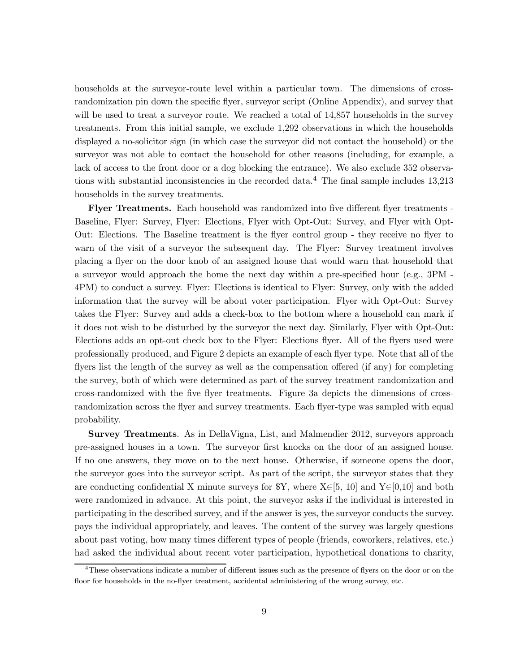households at the surveyor-route level within a particular town. The dimensions of crossrandomization pin down the specific flyer, surveyor script (Online Appendix), and survey that will be used to treat a surveyor route. We reached a total of  $14,857$  households in the survey treatments. From this initial sample, we exclude 1,292 observations in which the households displayed a no-solicitor sign (in which case the surveyor did not contact the household) or the surveyor was not able to contact the household for other reasons (including, for example, a lack of access to the front door or a dog blocking the entrance). We also exclude 352 observations with substantial inconsistencies in the recorded data.<sup>4</sup> The final sample includes  $13,213$ households in the survey treatments.

Flyer Treatments. Each household was randomized into five different flyer treatments -Baseline, Flyer: Survey, Flyer: Elections, Flyer with Opt-Out: Survey, and Flyer with Opt-Out: Elections. The Baseline treatment is the flyer control group - they receive no flyer to warn of the visit of a surveyor the subsequent day. The Flyer: Survey treatment involves placing a flyer on the door knob of an assigned house that would warn that household that a surveyor would approach the home the next day within a pre-specified hour (e.g., 3PM - 4PM) to conduct a survey. Flyer: Elections is identical to Flyer: Survey, only with the added information that the survey will be about voter participation. Flyer with Opt-Out: Survey takes the Flyer: Survey and adds a check-box to the bottom where a household can mark if it does not wish to be disturbed by the surveyor the next day. Similarly, Flyer with Opt-Out: Elections adds an opt-out check box to the Flyer: Elections flyer. All of the flyers used were professionally produced, and Figure 2 depicts an example of each flyer type. Note that all of the flyers list the length of the survey as well as the compensation offered (if any) for completing the survey, both of which were determined as part of the survey treatment randomization and cross-randomized with the five flyer treatments. Figure 3a depicts the dimensions of crossrandomization across the flyer and survey treatments. Each flyer-type was sampled with equal probability.

Survey Treatments. As in DellaVigna, List, and Malmendier 2012, surveyors approach pre-assigned houses in a town. The surveyor first knocks on the door of an assigned house. If no one answers, they move on to the next house. Otherwise, if someone opens the door, the surveyor goes into the surveyor script. As part of the script, the surveyor states that they are conducting confidential X minute surveys for  $Y$ , where  $X\in[5, 10]$  and  $Y\in[0, 10]$  and both were randomized in advance. At this point, the surveyor asks if the individual is interested in participating in the described survey, and if the answer is yes, the surveyor conducts the survey. pays the individual appropriately, and leaves. The content of the survey was largely questions about past voting, how many times different types of people (friends, coworkers, relatives, etc.) had asked the individual about recent voter participation, hypothetical donations to charity,

<sup>&</sup>lt;sup>4</sup>These observations indicate a number of different issues such as the presence of flyers on the door or on the floor for households in the no-flyer treatment, accidental administering of the wrong survey, etc.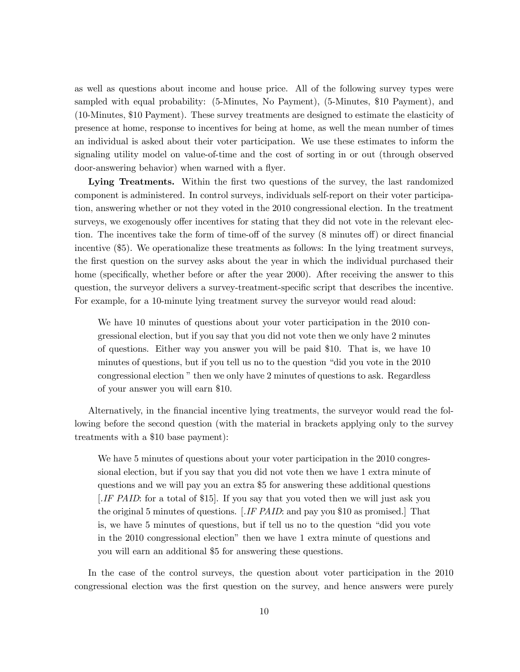as well as questions about income and house price. All of the following survey types were sampled with equal probability: (5-Minutes, No Payment), (5-Minutes, \$10 Payment), and (10-Minutes, \$10 Payment). These survey treatments are designed to estimate the elasticity of presence at home, response to incentives for being at home, as well the mean number of times an individual is asked about their voter participation. We use these estimates to inform the signaling utility model on value-of-time and the cost of sorting in or out (through observed door-answering behavior) when warned with a flyer.

Lying Treatments. Within the first two questions of the survey, the last randomized component is administered. In control surveys, individuals self-report on their voter participation, answering whether or not they voted in the 2010 congressional election. In the treatment surveys, we exogenously offer incentives for stating that they did not vote in the relevant election. The incentives take the form of time-off of the survey (8 minutes off) or direct financial incentive (\$5). We operationalize these treatments as follows: In the lying treatment surveys, the first question on the survey asks about the year in which the individual purchased their home (specifically, whether before or after the year 2000). After receiving the answer to this question, the surveyor delivers a survey-treatment-specific script that describes the incentive. For example, for a 10-minute lying treatment survey the surveyor would read aloud:

We have 10 minutes of questions about your voter participation in the 2010 congressional election, but if you say that you did not vote then we only have 2 minutes of questions. Either way you answer you will be paid \$10. That is, we have 10 minutes of questions, but if you tell us no to the question "did you vote in the 2010 congressional election " then we only have 2 minutes of questions to ask. Regardless of your answer you will earn \$10.

Alternatively, in the financial incentive lying treatments, the surveyor would read the following before the second question (with the material in brackets applying only to the survey treatments with a \$10 base payment):

We have 5 minutes of questions about your voter participation in the 2010 congressional election, but if you say that you did not vote then we have 1 extra minute of questions and we will pay you an extra \$5 for answering these additional questions [.IF PAID: for a total of \$15]. If you say that you voted then we will just ask you the original 5 minutes of questions. [.IF PAID: and pay you \$10 as promised.] That is, we have 5 minutes of questions, but if tell us no to the question "did you vote in the 2010 congressional election" then we have 1 extra minute of questions and you will earn an additional \$5 for answering these questions.

In the case of the control surveys, the question about voter participation in the 2010 congressional election was the first question on the survey, and hence answers were purely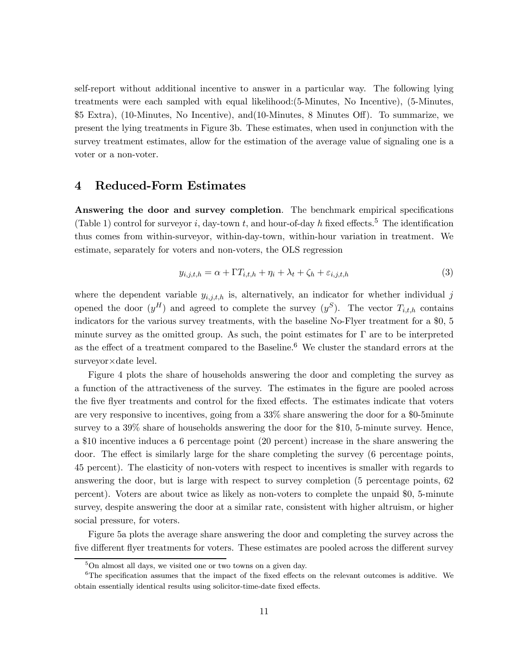self-report without additional incentive to answer in a particular way. The following lying treatments were each sampled with equal likelihood:(5-Minutes, No Incentive), (5-Minutes, \$5 Extra), (10-Minutes, No Incentive), and(10-Minutes, 8 Minutes Off). To summarize, we present the lying treatments in Figure 3b. These estimates, when used in conjunction with the survey treatment estimates, allow for the estimation of the average value of signaling one is a voter or a non-voter.

#### 4 Reduced-Form Estimates

Answering the door and survey completion. The benchmark empirical specifications (Table 1) control for surveyor *i*, day-town *t*, and hour-of-day *h* fixed effects.<sup>5</sup> The identification thus comes from within-surveyor, within-day-town, within-hour variation in treatment. We estimate, separately for voters and non-voters, the OLS regression

$$
y_{i,j,t,h} = \alpha + \Gamma T_{i,t,h} + \eta_i + \lambda_t + \zeta_h + \varepsilon_{i,j,t,h}
$$
\n
$$
\tag{3}
$$

where the dependent variable  $y_{i,j,t,h}$  is, alternatively, an indicator for whether individual j opened the door  $(y^H)$  and agreed to complete the survey  $(y^S)$ . The vector  $T_{i,t,h}$  contains indicators for the various survey treatments, with the baseline No-Flyer treatment for a \$0, 5 minute survey as the omitted group. As such, the point estimates for  $\Gamma$  are to be interpreted as the effect of a treatment compared to the Baseline.<sup>6</sup> We cluster the standard errors at the surveyor×date level.

Figure 4 plots the share of households answering the door and completing the survey as a function of the attractiveness of the survey. The estimates in the figure are pooled across the five flyer treatments and control for the fixed effects. The estimates indicate that voters are very responsive to incentives, going from a 33% share answering the door for a \$0-5minute survey to a 39% share of households answering the door for the \$10, 5-minute survey. Hence, a \$10 incentive induces a 6 percentage point (20 percent) increase in the share answering the door. The effect is similarly large for the share completing the survey (6 percentage points, 45 percent). The elasticity of non-voters with respect to incentives is smaller with regards to answering the door, but is large with respect to survey completion (5 percentage points, 62 percent). Voters are about twice as likely as non-voters to complete the unpaid \$0, 5-minute survey, despite answering the door at a similar rate, consistent with higher altruism, or higher social pressure, for voters.

Figure 5a plots the average share answering the door and completing the survey across the five different flyer treatments for voters. These estimates are pooled across the different survey

<sup>&</sup>lt;sup>5</sup>On almost all days, we visited one or two towns on a given day.

<sup>6</sup>The specification assumes that the impact of the fixed effects on the relevant outcomes is additive. We obtain essentially identical results using solicitor-time-date fixed effects.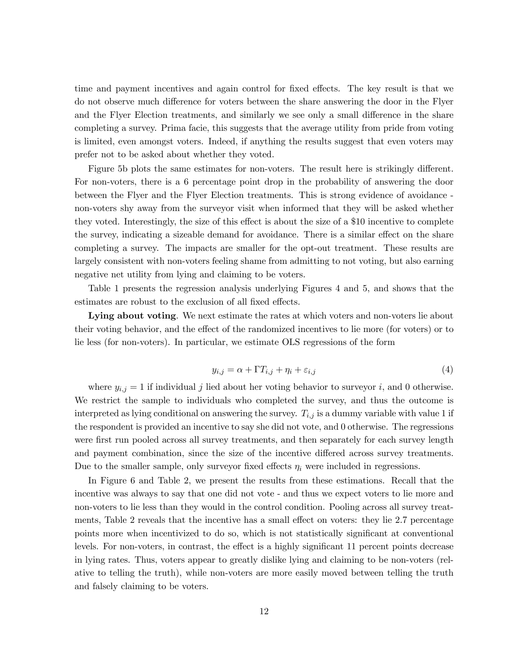time and payment incentives and again control for fixed effects. The key result is that we do not observe much difference for voters between the share answering the door in the Flyer and the Flyer Election treatments, and similarly we see only a small difference in the share completing a survey. Prima facie, this suggests that the average utility from pride from voting is limited, even amongst voters. Indeed, if anything the results suggest that even voters may prefer not to be asked about whether they voted.

Figure 5b plots the same estimates for non-voters. The result here is strikingly different. For non-voters, there is a 6 percentage point drop in the probability of answering the door between the Flyer and the Flyer Election treatments. This is strong evidence of avoidance non-voters shy away from the surveyor visit when informed that they will be asked whether they voted. Interestingly, the size of this effect is about the size of a \$10 incentive to complete the survey, indicating a sizeable demand for avoidance. There is a similar effect on the share completing a survey. The impacts are smaller for the opt-out treatment. These results are largely consistent with non-voters feeling shame from admitting to not voting, but also earning negative net utility from lying and claiming to be voters.

Table 1 presents the regression analysis underlying Figures 4 and 5, and shows that the estimates are robust to the exclusion of all fixed effects.

Lying about voting. We next estimate the rates at which voters and non-voters lie about their voting behavior, and the effect of the randomized incentives to lie more (for voters) or to lie less (for non-voters). In particular, we estimate OLS regressions of the form

$$
y_{i,j} = \alpha + \Gamma T_{i,j} + \eta_i + \varepsilon_{i,j} \tag{4}
$$

where  $y_{i,j} = 1$  if individual j lied about her voting behavior to surveyor i, and 0 otherwise. We restrict the sample to individuals who completed the survey, and thus the outcome is interpreted as lying conditional on answering the survey.  $T_{i,j}$  is a dummy variable with value 1 if the respondent is provided an incentive to say she did not vote, and 0 otherwise. The regressions were first run pooled across all survey treatments, and then separately for each survey length and payment combination, since the size of the incentive differed across survey treatments. Due to the smaller sample, only survey fixed effects  $\eta_i$  were included in regressions.

In Figure 6 and Table 2, we present the results from these estimations. Recall that the incentive was always to say that one did not vote - and thus we expect voters to lie more and non-voters to lie less than they would in the control condition. Pooling across all survey treatments, Table 2 reveals that the incentive has a small effect on voters: they lie 2.7 percentage points more when incentivized to do so, which is not statistically significant at conventional levels. For non-voters, in contrast, the effect is a highly significant 11 percent points decrease in lying rates. Thus, voters appear to greatly dislike lying and claiming to be non-voters (relative to telling the truth), while non-voters are more easily moved between telling the truth and falsely claiming to be voters.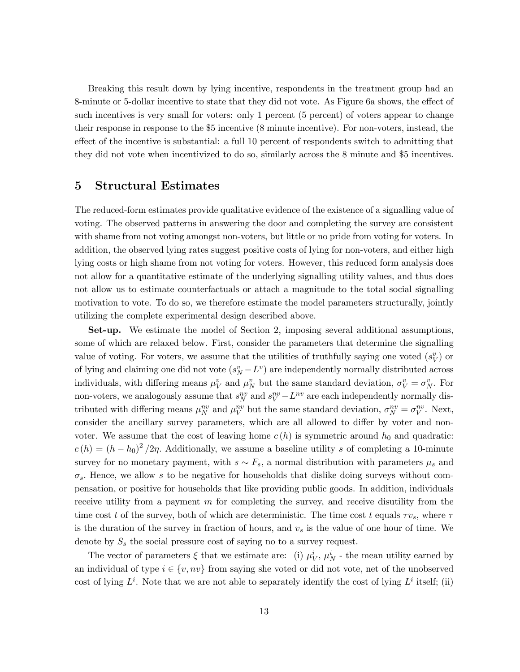Breaking this result down by lying incentive, respondents in the treatment group had an 8-minute or 5-dollar incentive to state that they did not vote. As Figure 6a shows, the effect of such incentives is very small for voters: only 1 percent (5 percent) of voters appear to change their response in response to the \$5 incentive (8 minute incentive). For non-voters, instead, the effect of the incentive is substantial: a full 10 percent of respondents switch to admitting that they did not vote when incentivized to do so, similarly across the 8 minute and \$5 incentives.

## 5 Structural Estimates

The reduced-form estimates provide qualitative evidence of the existence of a signalling value of voting. The observed patterns in answering the door and completing the survey are consistent with shame from not voting amongst non-voters, but little or no pride from voting for voters. In addition, the observed lying rates suggest positive costs of lying for non-voters, and either high lying costs or high shame from not voting for voters. However, this reduced form analysis does not allow for a quantitative estimate of the underlying signalling utility values, and thus does not allow us to estimate counterfactuals or attach a magnitude to the total social signalling motivation to vote. To do so, we therefore estimate the model parameters structurally, jointly utilizing the complete experimental design described above.

Set-up. We estimate the model of Section 2, imposing several additional assumptions, some of which are relaxed below. First, consider the parameters that determine the signalling value of voting. For voters, we assume that the utilities of truthfully saying one voted  $(s_V^v)$  or of lying and claiming one did not vote  $(s_N^v - L^v)$  are independently normally distributed across individuals, with differing means  $\mu_V^v$  and  $\mu_N^v$  but the same standard deviation,  $\sigma_V^v = \sigma_N^v$ . For non-voters, we analogously assume that  $s_N^{nv}$  and  $s_V^{nv} - L^{nv}$  are each independently normally distributed with differing means  $\mu_N^{nv}$  and  $\mu_V^{nv}$  but the same standard deviation,  $\sigma_N^{nv} = \sigma_V^{nv}$ . Next, consider the ancillary survey parameters, which are all allowed to differ by voter and nonvoter. We assume that the cost of leaving home  $c(h)$  is symmetric around  $h_0$  and quadratic:  $c(h) = (h - h_0)^2/2\eta$ . Additionally, we assume a baseline utility s of completing a 10-minute survey for no monetary payment, with  $s \sim F_s$ , a normal distribution with parameters  $\mu_s$  and  $\sigma_s$ . Hence, we allow s to be negative for households that dislike doing surveys without compensation, or positive for households that like providing public goods. In addition, individuals receive utility from a payment  $m$  for completing the survey, and receive disutility from the time cost t of the survey, both of which are deterministic. The time cost t equals  $\tau v_s$ , where  $\tau$ is the duration of the survey in fraction of hours, and  $v_s$  is the value of one hour of time. We denote by  $S_s$  the social pressure cost of saying no to a survey request.

The vector of parameters  $\xi$  that we estimate are: (i)  $\mu_V^i$ ,  $\mu_N^i$  - the mean utility earned by an individual of type  $i \in \{v, nv\}$  from saying she voted or did not vote, net of the unobserved cost of lying  $L^i$ . Note that we are not able to separately identify the cost of lying  $L^i$  itself; (ii)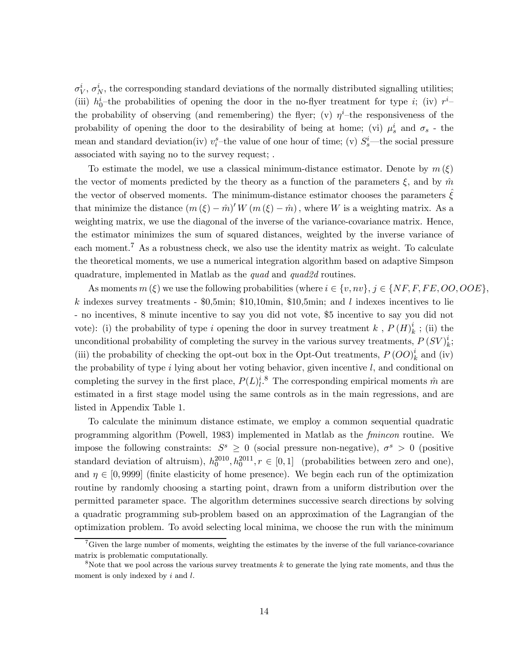$\sigma_V^i$ ,  $\sigma_N^i$ , the corresponding standard deviations of the normally distributed signalling utilities; (iii)  $h_0^i$ -the probabilities of opening the door in the no-flyer treatment for type *i*; (iv)  $r^i$ the probability of observing (and remembering) the flyer; (v)  $\eta^i$ -the responsiveness of the probability of opening the door to the desirability of being at home; (vi)  $\mu_s^i$  and  $\sigma_s$  - the mean and standard deviation(iv)  $v_i^s$ -the value of one hour of time; (v)  $S_s^i$ --the social pressure associated with saying no to the survey request; .

To estimate the model, we use a classical minimum-distance estimator. Denote by  $m(\xi)$ the vector of moments predicted by the theory as a function of the parameters  $\xi$ , and by  $\hat{m}$ the vector of observed moments. The minimum-distance estimator chooses the parameters  $\zeta$ that minimize the distance  $(m(\xi) - \hat{m})' W(m(\xi) - \hat{m})$ , where W is a weighting matrix. As a weighting matrix, we use the diagonal of the inverse of the variance-covariance matrix. Hence, the estimator minimizes the sum of squared distances, weighted by the inverse variance of each moment.<sup>7</sup> As a robustness check, we also use the identity matrix as weight. To calculate the theoretical moments, we use a numerical integration algorithm based on adaptive Simpson quadrature, implemented in Matlab as the *quad* and *quad2d* routines.

As moments  $m(\xi)$  we use the following probabilities (where  $i \in \{v, nv\}$ ,  $j \in \{NF, F, FE, OO, OOE\}$ , k indexes survey treatments -  $0.5$ min; \$10,10min, \$10,5min; and l indexes incentives to lie - no incentives, 8 minute incentive to say you did not vote, \$5 incentive to say you did not vote): (i) the probability of type *i* opening the door in survey treatment *k*,  $P(H)_k^i$ ; (ii) the unconditional probability of completing the survey in the various survey treatments,  $P(SV)_{k}^{i}$ ; (iii) the probability of checking the opt-out box in the Opt-Out treatments,  $P(OO)_k^i$  and (iv) the probability of type  $i$  lying about her voting behavior, given incentive  $l$ , and conditional on completing the survey in the first place,  $P(L)_{l}^{i, 8}$ . The corresponding empirical moments  $\hat{m}$  are estimated in a first stage model using the same controls as in the main regressions, and are listed in Appendix Table 1.

To calculate the minimum distance estimate, we employ a common sequential quadratic programming algorithm (Powell, 1983) implemented in Matlab as the fmincon routine. We impose the following constraints:  $S^s \geq 0$  (social pressure non-negative),  $\sigma^s > 0$  (positive standard deviation of altruism),  $h_0^{2010}, h_0^{2011}, r \in [0,1]$  (probabilities between zero and one), and  $\eta \in [0, 9999]$  (finite elasticity of home presence). We begin each run of the optimization routine by randomly choosing a starting point, drawn from a uniform distribution over the permitted parameter space. The algorithm determines successive search directions by solving a quadratic programming sub-problem based on an approximation of the Lagrangian of the optimization problem. To avoid selecting local minima, we choose the run with the minimum

 ${}^{7}$ Given the large number of moments, weighting the estimates by the inverse of the full variance-covariance matrix is problematic computationally.

 $8N$ ote that we pool across the various survey treatments  $k$  to generate the lying rate moments, and thus the moment is only indexed by  $i$  and  $l$ .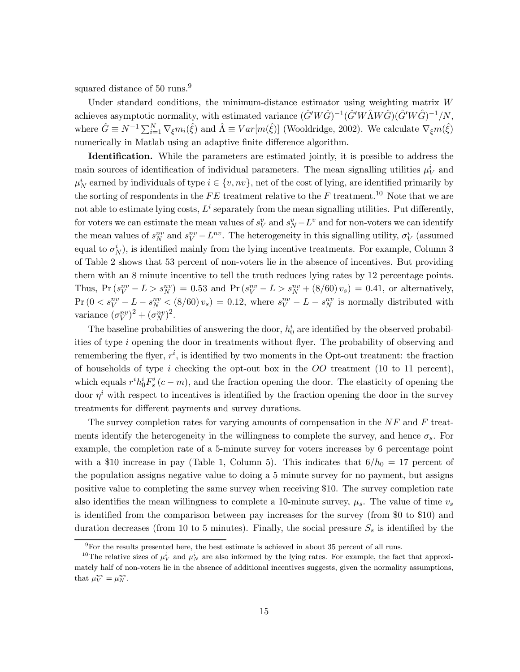squared distance of 50 runs.<sup>9</sup>

Under standard conditions, the minimum-distance estimator using weighting matrix  $W$ achieves asymptotic normality, with estimated variance  $(\hat{G}'W\hat{G})^{-1}(\hat{G}'W\hat{M}W\hat{G})(\hat{G}'W\hat{G})^{-1}/N$ , where  $\hat{G} \equiv N^{-1} \sum_{i=1}^{N} \nabla_{\xi} m_i(\hat{\xi})$  and  $\hat{\Lambda} \equiv Var[m(\hat{\xi})]$  (Wooldridge, 2002). We calculate  $\nabla_{\xi} m(\hat{\xi})$ numerically in Matlab using an adaptive finite difference algorithm.

Identification. While the parameters are estimated jointly, it is possible to address the main sources of identification of individual parameters. The mean signalling utilities  $\mu_V^i$  and  $\mu_N^i$  earned by individuals of type  $i \in \{v, nv\}$ , net of the cost of lying, are identified primarily by the sorting of respondents in the  $FE$  treatment relative to the  $F$  treatment.<sup>10</sup> Note that we are not able to estimate lying costs,  $L<sup>i</sup>$  separately from the mean signalling utilities. Put differently, for voters we can estimate the mean values of  $s_V^v$  and  $s_N^v - L^v$  and for non-voters we can identify the mean values of  $s_N^{nv}$  and  $s_V^{nv} - L^{nv}$ . The heterogeneity in this signalling utility,  $\sigma_V^i$  (assumed equal to  $\sigma_N^i$ ), is identified mainly from the lying incentive treatments. For example, Column 3 of Table 2 shows that 53 percent of non-voters lie in the absence of incentives. But providing them with an 8 minute incentive to tell the truth reduces lying rates by 12 percentage points. Thus,  $Pr(s_V^{nv} - L > s_N^{nv}) = 0.53$  and  $Pr(s_V^{nv} - L > s_N^{nv} + (8/60) v_s) = 0.41$ , or alternatively,  $\Pr(0 < s_V^{nv} - L - s_N^{nv} < (8/60) v_s) = 0.12$ , where  $s_V^{nv} - L - s_N^{nv}$  is normally distributed with variance  $(\sigma_V^{nv})^2 + (\sigma_N^{nv})^2$ .

The baseline probabilities of answering the door,  $h_0^i$  are identified by the observed probabilities of type *i* opening the door in treatments without flyer. The probability of observing and remembering the flyer,  $r^i$ , is identified by two moments in the Opt-out treatment: the fraction of households of type *i* checking the opt-out box in the  $OO$  treatment (10 to 11 percent), which equals  $r^{i}h_{0}^{i}F_{s}^{i}(c-m)$ , and the fraction opening the door. The elasticity of opening the door  $\eta^i$  with respect to incentives is identified by the fraction opening the door in the survey treatments for different payments and survey durations.

The survey completion rates for varying amounts of compensation in the  $NF$  and  $F$  treatments identify the heterogeneity in the willingness to complete the survey, and hence  $\sigma_s$ . For example, the completion rate of a 5-minute survey for voters increases by 6 percentage point with a \$10 increase in pay (Table 1, Column 5). This indicates that  $6/h_0 = 17$  percent of the population assigns negative value to doing a 5 minute survey for no payment, but assigns positive value to completing the same survey when receiving \$10. The survey completion rate also identifies the mean willingness to complete a 10-minute survey,  $\mu_s$ . The value of time  $v_s$ is identified from the comparison between pay increases for the survey (from \$0 to \$10) and duration decreases (from 10 to 5 minutes). Finally, the social pressure  $S_s$  is identified by the

 $9$ For the results presented here, the best estimate is achieved in about 35 percent of all runs.

<sup>&</sup>lt;sup>10</sup>The relative sizes of  $\mu_V^i$  and  $\mu_N^i$  are also informed by the lying rates. For example, the fact that approximately half of non-voters lie in the absence of additional incentives suggests, given the normality assumptions, that  $\mu_V^{nv} = \mu_N^{nv}$ .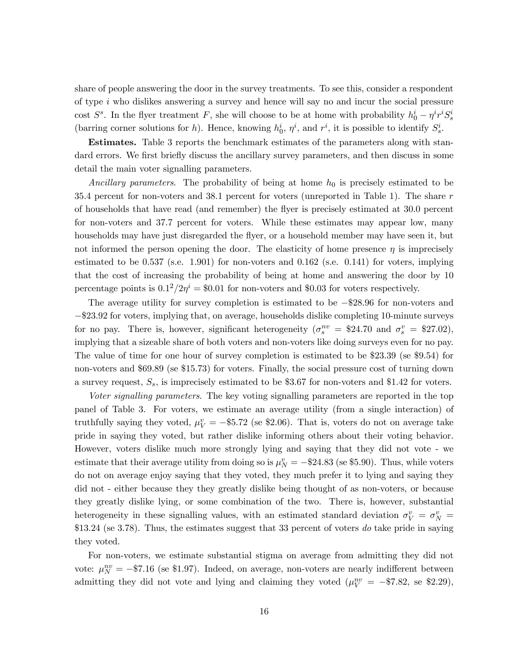share of people answering the door in the survey treatments. To see this, consider a respondent of type  $i$  who dislikes answering a survey and hence will say no and incur the social pressure cost  $S^s$ . In the flyer treatment F, she will choose to be at home with probability  $h_0^i - \eta^i r^i S_s^i$ (barring corner solutions for h). Hence, knowing  $h_0^i$ ,  $\eta^i$ , and  $r^i$ , it is possible to identify  $S_s^i$ .

Estimates. Table 3 reports the benchmark estimates of the parameters along with standard errors. We first briefly discuss the ancillary survey parameters, and then discuss in some detail the main voter signalling parameters.

Ancillary parameters. The probability of being at home  $h_0$  is precisely estimated to be 35.4 percent for non-voters and 38.1 percent for voters (unreported in Table 1). The share  $r$ of households that have read (and remember) the flyer is precisely estimated at 300 percent for non-voters and 377 percent for voters. While these estimates may appear low, many households may have just disregarded the flyer, or a household member may have seen it, but not informed the person opening the door. The elasticity of home presence  $\eta$  is imprecisely estimated to be  $0.537$  (s.e. 1.901) for non-voters and  $0.162$  (s.e.  $0.141$ ) for voters, implying that the cost of increasing the probability of being at home and answering the door by 10 percentage points is  $0.1^2/2\eta^i = $0.01$  for non-voters and \$0.03 for voters respectively.

The average utility for survey completion is estimated to be −\$2896 for non-voters and −\$2392 for voters, implying that, on average, households dislike completing 10-minute surveys for no pay. There is, however, significant heterogeneity  $(\sigma_s^{nv} = $24.70$  and  $\sigma_s^v = $27.02)$ , implying that a sizeable share of both voters and non-voters like doing surveys even for no pay. The value of time for one hour of survey completion is estimated to be  $$23.39$  (se  $$9.54$ ) for non-voters and \$69.89 (se \$15.73) for voters. Finally, the social pressure cost of turning down a survey request,  $S_s$ , is imprecisely estimated to be \$3.67 for non-voters and \$1.42 for voters.

Voter signalling parameters. The key voting signalling parameters are reported in the top panel of Table 3. For voters, we estimate an average utility (from a single interaction) of truthfully saying they voted,  $\mu_V^v = -\$5.72$  (se \$2.06). That is, voters do not on average take pride in saying they voted, but rather dislike informing others about their voting behavior. However, voters dislike much more strongly lying and saying that they did not vote - we estimate that their average utility from doing so is  $\mu_N^v = -\$24.83$  (se \$5.90). Thus, while voters do not on average enjoy saying that they voted, they much prefer it to lying and saying they did not - either because they they greatly dislike being thought of as non-voters, or because they greatly dislike lying, or some combination of the two. There is, however, substantial heterogeneity in these signalling values, with an estimated standard deviation  $\sigma_V^v = \sigma_N^v$ \$13.24 (se 3.78). Thus, the estimates suggest that 33 percent of voters do take pride in saying they voted.

For non-voters, we estimate substantial stigma on average from admitting they did not vote:  $\mu_N^{nv} = -\$7.16$  (se \$1.97). Indeed, on average, non-voters are nearly indifferent between admitting they did not vote and lying and claiming they voted  $(\mu_V^{nv} = -\$7.82, \text{ se } \$2.29),$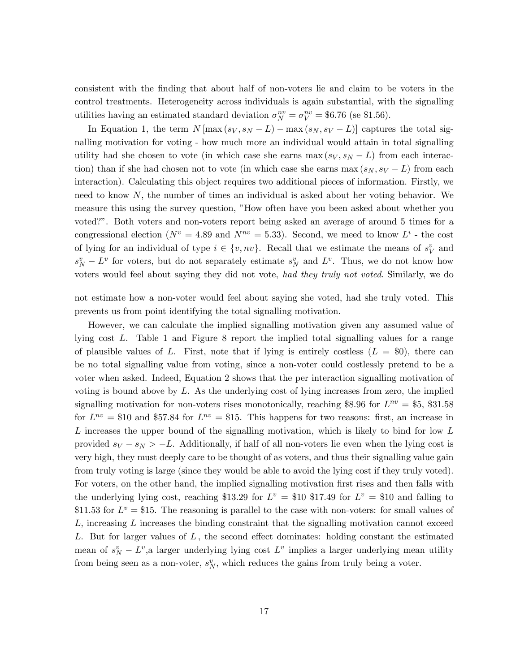consistent with the finding that about half of non-voters lie and claim to be voters in the control treatments. Heterogeneity across individuals is again substantial, with the signalling utilities having an estimated standard deviation  $\sigma_N^{nv} = \sigma_V^{nv} = $6.76$  (se \$1.56).

In Equation 1, the term  $N[\max(s_V, s_N - L) - \max(s_N, s_V - L)]$  captures the total signalling motivation for voting - how much more an individual would attain in total signalling utility had she chosen to vote (in which case she earns max  $(s_V, s_N - L)$  from each interaction) than if she had chosen not to vote (in which case she earns max  $(s_N, s_V - L)$  from each interaction). Calculating this object requires two additional pieces of information. Firstly, we need to know  $N$ , the number of times an individual is asked about her voting behavior. We measure this using the survey question, "How often have you been asked about whether you voted?". Both voters and non-voters report being asked an average of around 5 times for a congressional election ( $N^v = 4.89$  and  $N^{nv} = 5.33$ ). Second, we meed to know  $L^i$  - the cost of lying for an individual of type  $i \in \{v, nv\}$ . Recall that we estimate the means of  $s_V^v$  and  $s_N^v - L^v$  for voters, but do not separately estimate  $s_N^v$  and  $L^v$ . Thus, we do not know how voters would feel about saying they did not vote, had they truly not voted. Similarly, we do

not estimate how a non-voter would feel about saying she voted, had she truly voted. This prevents us from point identifying the total signalling motivation.

However, we can calculate the implied signalling motivation given any assumed value of lying cost  $L$ . Table 1 and Figure 8 report the implied total signalling values for a range of plausible values of L. First, note that if lying is entirely costless  $(L = $0)$ , there can be no total signalling value from voting, since a non-voter could costlessly pretend to be a voter when asked. Indeed, Equation 2 shows that the per interaction signalling motivation of voting is bound above by  $L$ . As the underlying cost of lying increases from zero, the implied signalling motivation for non-voters rises monotonically, reaching \$8.96 for  $L^{nv} = $5, $31.58$ for  $L^{nv} = $10$  and \$57.84 for  $L^{nv} = $15$ . This happens for two reasons: first, an increase in L increases the upper bound of the signalling motivation, which is likely to bind for low  $L$ provided  $s_V - s_N > -L$ . Additionally, if half of all non-voters lie even when the lying cost is very high, they must deeply care to be thought of as voters, and thus their signalling value gain from truly voting is large (since they would be able to avoid the lying cost if they truly voted). For voters, on the other hand, the implied signalling motivation first rises and then falls with the underlying lying cost, reaching \$13.29 for  $L^v = $10$  \$17.49 for  $L^v = $10$  and falling to \$11.53 for  $L^v = $15$ . The reasoning is parallel to the case with non-voters: for small values of  $L$ , increasing  $L$  increases the binding constraint that the signalling motivation cannot exceed L. But for larger values of  $L$ , the second effect dominates: holding constant the estimated mean of  $s_N^v - L^v$ , a larger underlying lying cost  $L^v$  implies a larger underlying mean utility from being seen as a non-voter,  $s_N^v$ , which reduces the gains from truly being a voter.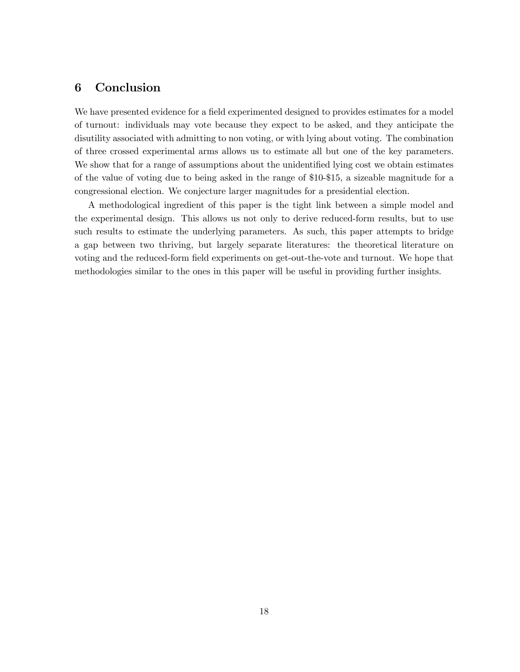# 6 Conclusion

We have presented evidence for a field experimented designed to provides estimates for a model of turnout: individuals may vote because they expect to be asked, and they anticipate the disutility associated with admitting to non voting, or with lying about voting. The combination of three crossed experimental arms allows us to estimate all but one of the key parameters. We show that for a range of assumptions about the unidentified lying cost we obtain estimates of the value of voting due to being asked in the range of \$10-\$15, a sizeable magnitude for a congressional election. We conjecture larger magnitudes for a presidential election.

A methodological ingredient of this paper is the tight link between a simple model and the experimental design. This allows us not only to derive reduced-form results, but to use such results to estimate the underlying parameters. As such, this paper attempts to bridge a gap between two thriving, but largely separate literatures: the theoretical literature on voting and the reduced-form field experiments on get-out-the-vote and turnout. We hope that methodologies similar to the ones in this paper will be useful in providing further insights.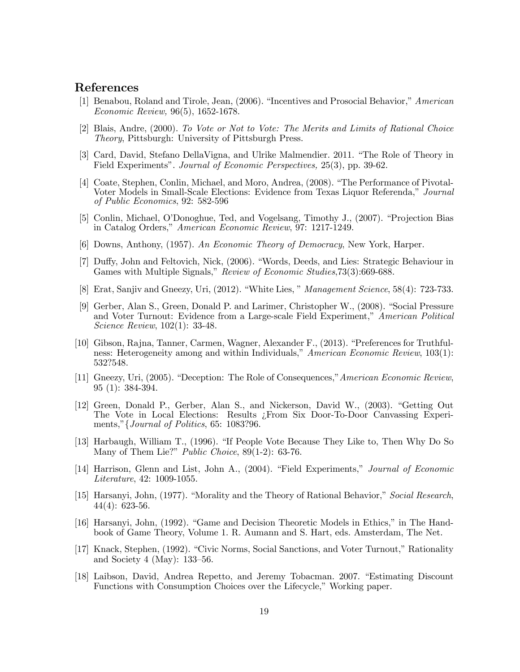#### References

- [1] Benabou, Roland and Tirole, Jean, (2006). "Incentives and Prosocial Behavior," American Economic Review, 96(5), 1652-1678.
- [2] Blais, Andre, (2000). To Vote or Not to Vote: The Merits and Limits of Rational Choice Theory, Pittsburgh: University of Pittsburgh Press.
- [3] Card, David, Stefano DellaVigna, and Ulrike Malmendier. 2011. "The Role of Theory in Field Experiments". Journal of Economic Perspectives, 25(3), pp. 39-62.
- [4] Coate, Stephen, Conlin, Michael, and Moro, Andrea, (2008). "The Performance of Pivotal-Voter Models in Small-Scale Elections: Evidence from Texas Liquor Referenda," Journal of Public Economics, 92: 582-596
- [5] Conlin, Michael, O'Donoghue, Ted, and Vogelsang, Timothy J., (2007). "Projection Bias in Catalog Orders," American Economic Review, 97: 1217-1249.
- [6] Downs, Anthony, (1957). An Economic Theory of Democracy, New York, Harper.
- [7] Duffy, John and Feltovich, Nick, (2006). "Words, Deeds, and Lies: Strategic Behaviour in Games with Multiple Signals," Review of Economic Studies, 73(3):669-688.
- [8] Erat, Sanjiv and Gneezy, Uri, (2012). "White Lies, " Management Science, 58(4): 723-733.
- [9] Gerber, Alan S., Green, Donald P. and Larimer, Christopher W., (2008). "Social Pressure and Voter Turnout: Evidence from a Large-scale Field Experiment," American Political Science Review, 102(1): 33-48.
- [10] Gibson, Rajna, Tanner, Carmen, Wagner, Alexander F., (2013). "Preferences for Truthfulness: Heterogeneity among and within Individuals," American Economic Review, 103(1): 532?548.
- [11] Gneezy, Uri, (2005). "Deception: The Role of Consequences,"American Economic Review, 95 (1): 384-394.
- [12] Green, Donald P., Gerber, Alan S., and Nickerson, David W., (2003). "Getting Out The Vote in Local Elections: Results ¿From Six Door-To-Door Canvassing Experiments,"{Journal of Politics, 65: 1083?96.
- [13] Harbaugh, William T., (1996). "If People Vote Because They Like to, Then Why Do So Many of Them Lie?" Public Choice, 89(1-2): 63-76.
- [14] Harrison, Glenn and List, John A., (2004). "Field Experiments," Journal of Economic Literature, 42: 1009-1055.
- [15] Harsanyi, John, (1977). "Morality and the Theory of Rational Behavior," Social Research,  $44(4): 623-56.$
- [16] Harsanyi, John, (1992). "Game and Decision Theoretic Models in Ethics," in The Handbook of Game Theory, Volume 1. R. Aumann and S. Hart, eds. Amsterdam, The Net.
- [17] Knack, Stephen, (1992). "Civic Norms, Social Sanctions, and Voter Turnout," Rationality and Society 4 (May): 133—56.
- [18] Laibson, David, Andrea Repetto, and Jeremy Tobacman. 2007. "Estimating Discount Functions with Consumption Choices over the Lifecycle," Working paper.